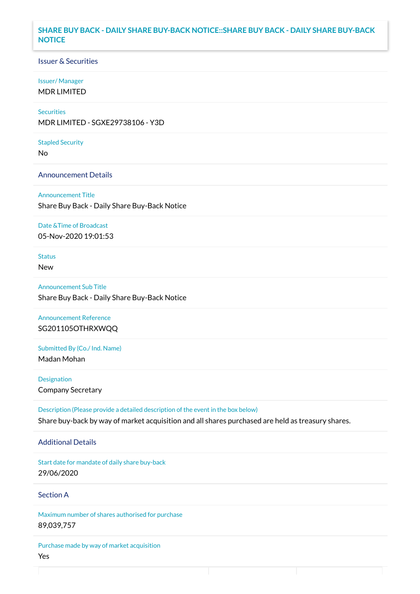### **SHARE BUY BACK - DAILY SHARE BUY-BACK NOTICE::SHARE BUY BACK - DAILY SHARE BUY-BACK NOTICE**

### Issuer & Securities

#### Issuer/ Manager

MDR LIMITED

## **Securities**

MDR LIMITED - SGXE29738106 - Y3D

#### Stapled Security

No

### Announcement Details

Announcement Title Share Buy Back - Daily Share Buy-Back Notice

#### Date &Time of Broadcast

05-Nov-2020 19:01:53

# Status

New

Announcement Sub Title Share Buy Back - Daily Share Buy-Back Notice

Announcement Reference SG201105OTHRXWQQ

Submitted By (Co./ Ind. Name)

Madan Mohan

**Designation** Company Secretary

Description (Please provide a detailed description of the event in the box below) Share buy-back by way of market acquisition and all shares purchased are held as treasury shares.

#### Additional Details

Start date for mandate of daily share buy-back 29/06/2020

### Section A

Maximum number of shares authorised for purchase 89,039,757

Purchase made by way of market acquisition Yes